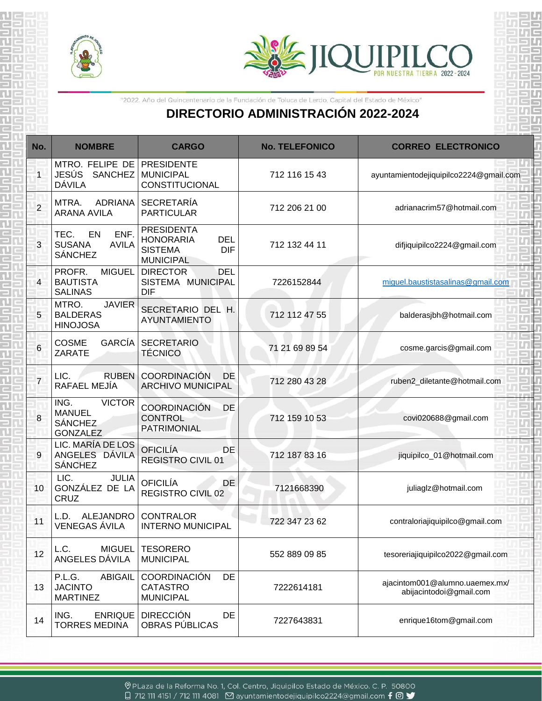

ດປ ŠR.

뾹

蛋



जन्द 可百

بنادك

龍 敞

騜

## **DIRECTORIO ADMINISTRACIÓN 2022-2024**

| "2022. Año del Quincentenario de la Fundación de Toluca de Lerdo, Capital del Estado de México"<br><b>DIRECTORIO ADMINISTRACIÓN 2022-2024</b> |                                                                             |                                                                                                         |                       |                                                           |  |  |
|-----------------------------------------------------------------------------------------------------------------------------------------------|-----------------------------------------------------------------------------|---------------------------------------------------------------------------------------------------------|-----------------------|-----------------------------------------------------------|--|--|
| No.                                                                                                                                           | <b>NOMBRE</b>                                                               | <b>CARGO</b>                                                                                            | <b>No. TELEFONICO</b> | <b>CORREO ELECTRONICO</b>                                 |  |  |
|                                                                                                                                               | MTRO. FELIPE DE<br><b>JESÚS</b><br><b>DÁVILA</b>                            | <b>PRESIDENTE</b><br>SANCHEZ MUNICIPAL<br>CONSTITUCIONAL                                                | 712 116 15 43         | ayuntamientodejiquipilco2224@gmail.com                    |  |  |
| $\overline{c}$                                                                                                                                | MTRA.<br>ADRIANA<br><b>ARANA AVILA</b>                                      | <b>SECRETARÍA</b><br><b>PARTICULAR</b>                                                                  | 712 206 21 00         | adrianacrim57@hotmail.com                                 |  |  |
| 3                                                                                                                                             | ENF.<br>TEC.<br>EN<br><b>SUSANA</b><br><b>AVILA</b><br><b>SÁNCHEZ</b>       | <b>PRESIDENTA</b><br><b>HONORARIA</b><br><b>DEL</b><br><b>SISTEMA</b><br><b>DIF</b><br><b>MUNICIPAL</b> | 712 132 44 11         | difjiquipilco2224@gmail.com                               |  |  |
| 4                                                                                                                                             | PROFR.<br><b>MIGUEL</b><br><b>BAUTISTA</b><br><b>SALINAS</b>                | <b>DIRECTOR</b><br><b>DEL</b><br>SISTEMA MUNICIPAL<br><b>DIF</b>                                        | 7226152844            | miguel.baustistasalinas@gmail.com                         |  |  |
| 5                                                                                                                                             | MTRO.<br><b>JAVIER</b><br><b>BALDERAS</b><br><b>HINOJOSA</b>                | SECRETARIO DEL H.<br><b>AYUNTAMIENTO</b>                                                                | 712 112 47 55         | balderasjbh@hotmail.com                                   |  |  |
| 6                                                                                                                                             | GARCÍA<br><b>COSME</b><br>ZARATE                                            | <b>SECRETARIO</b><br><b>TÉCNICO</b>                                                                     | 71 21 69 89 54        | cosme.garcis@gmail.com                                    |  |  |
| $\overline{7}$                                                                                                                                | <b>RUBEN</b><br>LIC.<br>RAFAEL MEJÍA                                        | <b>COORDINACIÓN</b><br>DE<br><b>ARCHIVO MUNICIPAL</b>                                                   | 712 280 43 28         | ruben2_diletante@hotmail.com                              |  |  |
| 8                                                                                                                                             | ING.<br><b>VICTOR</b><br><b>MANUEL</b><br><b>SÁNCHEZ</b><br><b>GONZALEZ</b> | <b>COORDINACIÓN</b><br><b>DE</b><br><b>CONTROL</b><br><b>PATRIMONIAL</b>                                | 712 159 10 53         | covi020688@gmail.com                                      |  |  |
| 9                                                                                                                                             | LIC. MARÍA DE LOS<br>ANGELES DÁVILA<br><b>SÁNCHEZ</b>                       | <b>OFICILÍA</b><br><b>DE</b><br><b>REGISTRO CIVIL 01</b>                                                | 712 187 83 16         | jiquipilco_01@hotmail.com                                 |  |  |
| 10                                                                                                                                            | LIC.<br>JULIA<br>GONZÁLEZ DE LA<br>CRUZ                                     | <b>OFICILÍA</b><br>DE<br><b>REGISTRO CIVIL 02</b>                                                       | 7121668390            | juliaglz@hotmail.com                                      |  |  |
| 11                                                                                                                                            | ALEJANDRO<br>L.D.<br>VENEGAS ÁVILA                                          | <b>CONTRALOR</b><br><b>INTERNO MUNICIPAL</b>                                                            | 722 347 23 62         | contraloriajiquipilco@gmail.com                           |  |  |
| 12                                                                                                                                            | <b>MIGUEL</b><br>L.C.<br>ANGELES DÁVILA                                     | <b>TESORERO</b><br><b>MUNICIPAL</b>                                                                     | 552 889 09 85         | tesoreriajiquipilco2022@gmail.com                         |  |  |
| 13                                                                                                                                            | P.L.G.<br><b>ABIGAIL</b><br><b>JACINTO</b><br><b>MARTINEZ</b>               | <b>COORDINACIÓN</b><br><b>DE</b><br><b>CATASTRO</b><br><b>MUNICIPAL</b>                                 | 7222614181            | ajacintom001@alumno.uaemex.mx/<br>abijacintodoi@gmail.com |  |  |
| 14                                                                                                                                            | ING.<br>ENRIQUE  <br><b>TORRES MEDINA</b>                                   | <b>DIRECCIÓN</b><br>DE<br>OBRAS PÚBLICAS                                                                | 7227643831            | enrique16tom@gmail.com                                    |  |  |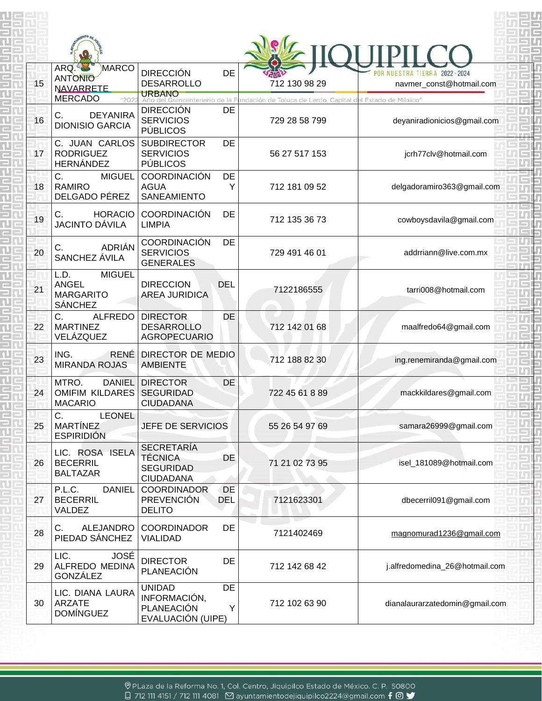| 15 | ARQ.<br>MARCO<br><b>ANTONIO</b><br><b>NAVARRETE</b>                         | <b>DIRECCIÓN</b><br>DE<br><b>DESARROLLO</b><br><b>URBANO</b>                                   |   | 712 130 98 29                                            | TIERRA 2022-2024<br>navmer_const@hotmail.com        |
|----|-----------------------------------------------------------------------------|------------------------------------------------------------------------------------------------|---|----------------------------------------------------------|-----------------------------------------------------|
| 16 | <b>MERCADO</b><br>"202<br>C.<br><b>DEYANIRA</b><br><b>DIONISIO GARCIA</b>   | uincentenario de la Fi<br><b>DIRECCIÓN</b><br><b>DE</b><br><b>SERVICIOS</b><br><b>PÚBLICOS</b> |   | undación de Toluca de Lerdo, Capital de<br>729 28 58 799 | el Estado de México"<br>deyaniradionicios@gmail.com |
| 17 | C. JUAN CARLOS<br><b>RODRIGUEZ</b><br><b>HERNÁNDEZ</b>                      | <b>SUBDIRECTOR</b><br><b>DE</b><br><b>SERVICIOS</b><br><b>PÚBLICOS</b>                         |   | 56 27 517 153                                            | jcrh77clv@hotmail.com                               |
| 18 | C.<br><b>MIGUEL</b><br><b>RAMIRO</b><br>DELGADO PÉREZ                       | <b>COORDINACIÓN</b><br><b>DE</b><br><b>AGUA</b><br><b>SANEAMIENTO</b>                          | Y | 712 181 09 52                                            | delgadoramiro363@gmail.com                          |
| 19 | C.<br><b>HORACIO</b><br><b>JACINTO DÁVILA</b>                               | <b>COORDINACIÓN</b><br>DE<br><b>LIMPIA</b>                                                     |   | 712 135 36 73                                            | cowboysdavila@gmail.com                             |
| 20 | ADRIÁN<br>C.<br>SANCHEZ ÁVILA                                               | <b>COORDINACIÓN</b><br>DE<br><b>SERVICIOS</b><br><b>GENERALES</b>                              |   | 729 491 46 01                                            | addrriann@live.com.mx                               |
| 21 | <b>MIGUEL</b><br>L.D.<br><b>ANGEL</b><br><b>MARGARITO</b><br><b>SÁNCHEZ</b> | <b>DIRECCION</b><br><b>DEL</b><br><b>AREA JURIDICA</b>                                         |   | 7122186555                                               | tarri008@hotmail.com                                |
| 22 | C.<br><b>ALFREDO</b><br><b>MARTINEZ</b><br>VELÁZQUEZ                        | <b>DIRECTOR</b><br>DE<br><b>DESARROLLO</b><br><b>AGROPECUARIO</b>                              |   | 712 142 01 68                                            | maalfredo64@gmail.com                               |
| 23 | ING.<br><b>RENÉ</b><br><b>MIRANDA ROJAS</b>                                 | DIRECTOR DE MEDIO<br><b>AMBIENTE</b>                                                           |   | 712 188 82 30                                            | ing.renemiranda@gmail.com                           |
| 24 | MTRO.<br><b>DANIEL</b><br><b>OMIFIM KILDARES</b><br><b>MACARIO</b>          | <b>DIRECTOR</b><br><b>DE</b><br><b>SEGURIDAD</b><br><b>CIUDADANA</b>                           |   | 722 45 61 8 89                                           | mackkildares@gmail.com                              |
| 25 | C.<br><b>LEONEL</b><br><b>MARTÍNEZ</b><br><b>ESPIRIDIÓN</b>                 | JEFE DE SERVICIOS                                                                              |   | 55 26 54 97 69                                           | samara26999@gmail.com                               |
| 26 | LIC. ROSA ISELA<br><b>BECERRIL</b><br><b>BALTAZAR</b>                       | <b>SECRETARÍA</b><br><b>TÉCNICA</b><br>DE<br><b>SEGURIDAD</b><br><b>CIUDADANA</b>              |   | 71 21 02 73 95                                           | isel_181089@hotmail.com                             |
| 27 | P.L.C.<br><b>DANIEL</b><br><b>BECERRIL</b><br>VALDEZ                        | <b>DE</b><br><b>COORDINADOR</b><br><b>PREVENCIÓN</b><br>DEL<br><b>DELITO</b>                   |   | 7121623301                                               | dbecerril091@gmail.com                              |
| 28 | C.<br>ALEJANDRO<br>PIEDAD SÁNCHEZ                                           | <b>COORDINADOR</b><br>DE<br><b>VIALIDAD</b>                                                    |   | 7121402469                                               | magnomurad1236@gmail.com                            |
| 29 | LIC.<br><b>JOSÉ</b><br>ALFREDO MEDINA<br>GONZÁLEZ                           | <b>DIRECTOR</b><br>DE<br>PLANEACIÓN                                                            |   | 712 142 68 42                                            | j.alfredomedina_26@hotmail.com                      |
| 30 | LIC. DIANA LAURA<br>ARZATE<br><b>DOMÍNGUEZ</b>                              | <b>UNIDAD</b><br>DE<br>INFORMACIÓN,<br>PLANEACIÓN<br>EVALUACIÓN (UIPE)                         | Y | 712 102 63 90                                            | dianalaurarzatedomin@gmail.com                      |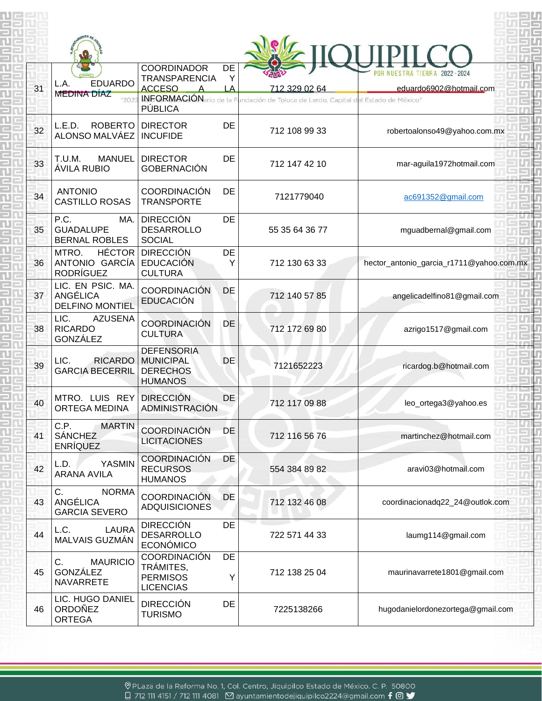| 31 | <b>EDUARDO</b><br>L.A.<br><b>MEDINA DÍAZ</b>                   | <b>COORDINADOR</b><br><b>TRANSPARENCIA</b><br><b>ACCESO</b><br><b>INFORMACIÓN</b> ario de la F<br>PÚBLICA | DE<br>Y<br>LA | 712 329 02 64<br>undación de Toluca de Lerdo, Capital del Estado de México" | TIERRA 2022-2024<br>eduardo6902@hotmail.com |
|----|----------------------------------------------------------------|-----------------------------------------------------------------------------------------------------------|---------------|-----------------------------------------------------------------------------|---------------------------------------------|
| 32 | L.E.D.<br><b>ROBERTO</b><br>ALONSO MALVÁEZ                     | <b>DIRECTOR</b><br><b>INCUFIDE</b>                                                                        | <b>DE</b>     | 712 108 99 33                                                               | robertoalonso49@yahoo.com.mx                |
| 33 | T.U.M.<br><b>MANUEL</b><br>ÁVILA RUBIO                         | <b>DIRECTOR</b><br><b>GOBERNACIÓN</b>                                                                     | <b>DE</b>     | 712 147 42 10                                                               | mar-aguila1972hotmail.com                   |
| 34 | <b>ANTONIO</b><br><b>CASTILLO ROSAS</b>                        | <b>COORDINACIÓN</b><br><b>TRANSPORTE</b>                                                                  | <b>DE</b>     | 7121779040                                                                  | ac691352@gmail.com                          |
| 35 | P.C.<br>MA.<br><b>GUADALUPE</b><br><b>BERNAL ROBLES</b>        | <b>DIRECCIÓN</b><br><b>DESARROLLO</b><br><b>SOCIAL</b>                                                    | <b>DE</b>     | 55 35 64 36 77                                                              | mguadbernal@gmail.com                       |
| 36 | MTRO.<br>ANTONIO GARCÍA EDUCACIÓN<br><b>RODRÍGUEZ</b>          | <b>HÉCTOR DIRECCIÓN</b><br><b>CULTURA</b>                                                                 | DE<br>Y       | 712 130 63 33                                                               | hector_antonio_garcia_r1711@yahoo.com.mx    |
| 37 | LIC. EN PSIC. MA.<br><b>ANGÉLICA</b><br><b>DELFINO MONTIEL</b> | <b>COORDINACIÓN</b><br><b>EDUCACIÓN</b>                                                                   | DE            | 712 140 57 85                                                               | angelicadelfino81@gmail.com                 |
| 38 | LIC.<br><b>AZUSENA</b><br><b>RICARDO</b><br>GONZÁLEZ           | <b>COORDINACIÓN</b><br><b>CULTURA</b>                                                                     | <b>DE</b>     | 712 172 69 80                                                               | azrigo1517@gmail.com                        |
| 39 | LIC.<br><b>RICARDO</b><br><b>GARCIA BECERRIL</b>               | <b>DEFENSORIA</b><br><b>MUNICIPAL</b><br><b>DERECHOS</b><br><b>HUMANOS</b>                                | <b>DE</b>     | 7121652223                                                                  | ricardog.b@hotmail.com                      |
| 40 | MTRO. LUIS REY<br>ORTEGA MEDINA                                | <b>DIRECCIÓN</b><br>ADMINISTRACIÓN                                                                        | DE            | 712 117 09 88                                                               | leo_ortega3@yahoo.es                        |
| 41 | C.P.<br><b>MARTIN</b><br><b>SÁNCHEZ</b><br><b>ENRÍQUEZ</b>     | <b>COORDINACIÓN</b><br><b>LICITACIONES</b>                                                                | <b>DE</b>     | 712 116 56 76                                                               | martinchez@hotmail.com                      |
| 42 | <b>YASMIN</b><br>L.D.<br><b>ARANA AVILA</b>                    | <b>COORDINACIÓN</b><br><b>RECURSOS</b><br><b>HUMANOS</b>                                                  | <b>DE</b>     | 554 384 89 82                                                               | aravi03@hotmail.com                         |
| 43 | C.<br><b>NORMA</b><br>ANGÉLICA<br><b>GARCIA SEVERO</b>         | <b>COORDINACIÓN</b><br><b>ADQUISICIONES</b>                                                               | DE            | 712 132 46 08                                                               | coordinacionadq22_24@outlok.com             |
| 44 | L.C.<br><b>LAURA</b><br>MALVAIS GUZMÁN                         | <b>DIRECCIÓN</b><br><b>DESARROLLO</b><br><b>ECONÓMICO</b>                                                 | DE            | 722 571 44 33                                                               | laumg114@gmail.com                          |
| 45 | $C_{\cdot}$<br><b>MAURICIO</b><br>GONZÁLEZ<br><b>NAVARRETE</b> | <b>COORDINACIÓN</b><br>TRÁMITES,<br><b>PERMISOS</b><br><b>LICENCIAS</b>                                   | DE<br>Υ       | 712 138 25 04                                                               | maurinavarrete1801@gmail.com                |
| 46 | LIC. HUGO DANIEL<br><b>ORDOÑEZ</b><br><b>ORTEGA</b>            | <b>DIRECCIÓN</b><br><b>TURISMO</b>                                                                        | DE            | 7225138266                                                                  | hugodanielordonezortega@gmail.com           |

⊗ PLaza de la Reforma No. 1, Col. Centro, Jiquipilco Estado de México. C. P. 50800 □ 712 111 4151 / 712 111 4081 △ ayuntamientodejiquipilco2224@gmail.com f ◎ ◆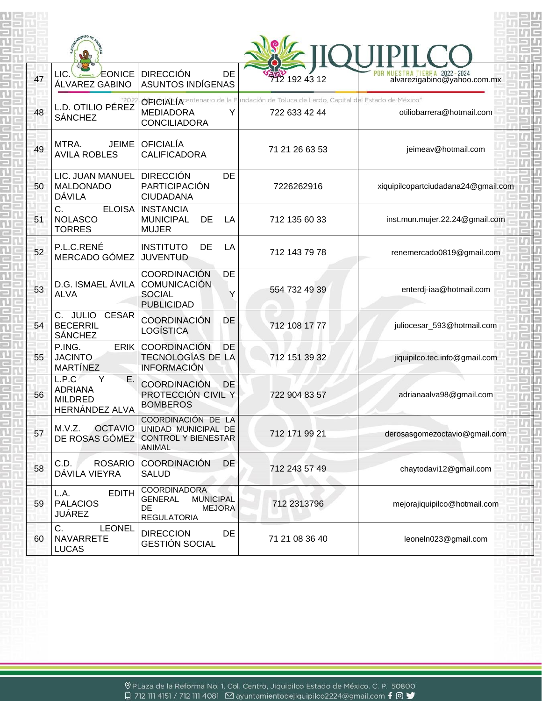| 47 | LIC.<br>EONICE<br>ÁLVAREZ GABINO                                 | <b>DIRECCIÓN</b><br>DE<br>ASUNTOS INDÍGENAS                                                            | 712 192 43 12                                                     | IUESTRA TIERRA 2022-2024<br>alvarezigabino@yahoo.com.mx |
|----|------------------------------------------------------------------|--------------------------------------------------------------------------------------------------------|-------------------------------------------------------------------|---------------------------------------------------------|
| 48 | L.D. OTILIO PÉREZ<br><b>SÁNCHEZ</b>                              | <b>OFICIALÍA</b> centenario<br><b>MEDIADORA</b><br><b>CONCILIADORA</b>                                 | de Toluca de Lerdo, Capital del Estado de México<br>722 633 42 44 | otiliobarrera@hotmail.com                               |
| 49 | MTRA.<br><b>JEIME</b><br><b>AVILA ROBLES</b>                     | <b>OFICIALÍA</b><br><b>CALIFICADORA</b>                                                                | 71 21 26 63 53                                                    | jeimeav@hotmail.com                                     |
| 50 | LIC. JUAN MANUEL<br><b>MALDONADO</b><br>DÁVILA                   | <b>DIRECCIÓN</b><br><b>DE</b><br><b>PARTICIPACIÓN</b><br><b>CIUDADANA</b>                              | 7226262916                                                        | xiquipilcopartciudadana24@gmail.com                     |
| 51 | C.<br><b>ELOISA</b><br><b>NOLASCO</b><br><b>TORRES</b>           | <b>INSTANCIA</b><br><b>MUNICIPAL</b><br>DE<br>LA<br><b>MUJER</b>                                       | 712 135 60 33                                                     | inst.mun.mujer.22.24@gmail.com                          |
| 52 | P.L.C.RENÉ<br>MERCADO GÓMEZ                                      | <b>INSTITUTO</b><br>DE<br>LA<br><b>JUVENTUD</b>                                                        | 712 143 79 78                                                     | renemercado0819@gmail.com                               |
| 53 | D.G. ISMAEL ÁVILA<br><b>ALVA</b>                                 | <b>COORDINACIÓN</b><br>DE<br><b>COMUNICACIÓN</b><br><b>SOCIAL</b><br><b>PUBLICIDAD</b>                 | 554 732 49 39                                                     | enterdj-iaa@hotmail.com                                 |
| 54 | <b>CESAR</b><br>C. JULIO<br><b>BECERRIL</b><br><b>SÁNCHEZ</b>    | <b>COORDINACIÓN</b><br><b>DE</b><br><b>LOGÍSTICA</b>                                                   | 712 108 17 77                                                     | juliocesar_593@hotmail.com                              |
| 55 | ERIK.<br>P.ING.<br><b>JACINTO</b><br><b>MARTÍNEZ</b>             | <b>COORDINACIÓN</b><br><b>DE</b><br><b>TECNOLOGÍAS DE LA</b><br><b>INFORMACIÓN</b>                     | 712 151 39 32                                                     | jiquipilco.tec.info@gmail.com                           |
| 56 | L.P.C<br>Е<br><b>ADRIANA</b><br><b>MILDRED</b><br>HERNÁNDEZ ALVA | <b>COORDINACIÓN</b><br><b>DE</b><br>PROTECCIÓN CIVIL Y<br><b>BOMBEROS</b>                              | 722 904 83 57                                                     | adrianaalva98@gmail.com                                 |
| 57 | <b>OCTAVIO</b><br>M.V.Z.<br>DE ROSAS GÓMEZ                       | COORDINACIÓN DE LA<br>UNIDAD MUNICIPAL DE<br><b>CONTROL Y BIENESTAR</b><br>ANIMAL                      | 712 171 99 21                                                     | derosasgomezoctavio@gmail.com                           |
| 58 | C.D.<br><b>ROSARIO</b><br>DÁVILA VIEYRA                          | <b>COORDINACIÓN</b><br>DE<br><b>SALUD</b>                                                              | 712 243 57 49                                                     | chaytodavi12@gmail.com                                  |
| 59 | <b>EDITH</b><br>L.A.<br><b>PALACIOS</b><br><b>JUÁREZ</b>         | COORDINADORA<br><b>MUNICIPAL</b><br><b>GENERAL</b><br><b>DE</b><br><b>MEJORA</b><br><b>REGULATORIA</b> | 712 2313796                                                       | mejorajiquipilco@hotmail.com                            |
| 60 | C.<br><b>LEONEL</b><br><b>NAVARRETE</b><br><b>LUCAS</b>          | <b>DIRECCION</b><br>DE<br><b>GESTIÓN SOCIAL</b>                                                        | 71 21 08 36 40                                                    | leoneln023@gmail.com                                    |